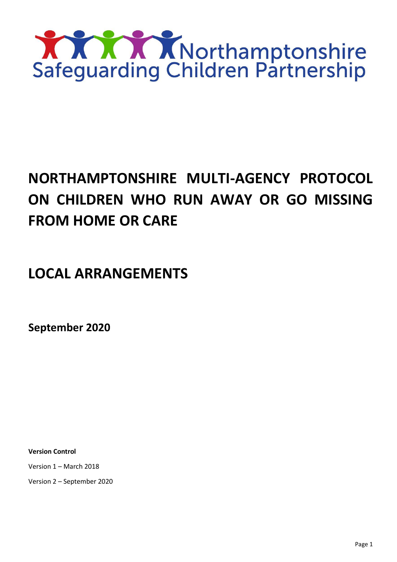

# **NORTHAMPTONSHIRE MULTI-AGENCY PROTOCOL ON CHILDREN WHO RUN AWAY OR GO MISSING FROM HOME OR CARE**

# **LOCAL ARRANGEMENTS**

**September 2020**

**Version Control**

Version 1 – March 2018

Version 2 – September 2020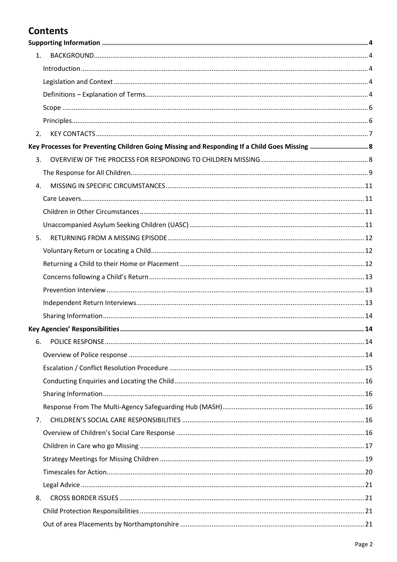# **Contents**

| 1.                                                                                            |  |
|-----------------------------------------------------------------------------------------------|--|
|                                                                                               |  |
|                                                                                               |  |
|                                                                                               |  |
|                                                                                               |  |
|                                                                                               |  |
| 2.                                                                                            |  |
| Key Processes for Preventing Children Going Missing and Responding If a Child Goes Missing  8 |  |
| 3.                                                                                            |  |
|                                                                                               |  |
| 4.                                                                                            |  |
|                                                                                               |  |
|                                                                                               |  |
|                                                                                               |  |
| 5.                                                                                            |  |
|                                                                                               |  |
|                                                                                               |  |
|                                                                                               |  |
|                                                                                               |  |
|                                                                                               |  |
|                                                                                               |  |
|                                                                                               |  |
| 6.                                                                                            |  |
|                                                                                               |  |
|                                                                                               |  |
|                                                                                               |  |
|                                                                                               |  |
|                                                                                               |  |
| 7.                                                                                            |  |
|                                                                                               |  |
|                                                                                               |  |
|                                                                                               |  |
|                                                                                               |  |
|                                                                                               |  |
| 8.                                                                                            |  |
|                                                                                               |  |
|                                                                                               |  |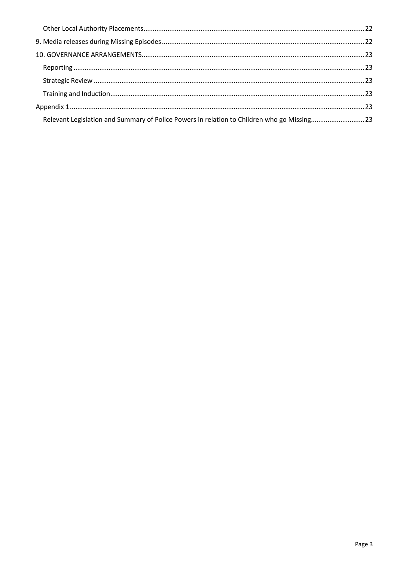| Relevant Legislation and Summary of Police Powers in relation to Children who go Missing23 |  |
|--------------------------------------------------------------------------------------------|--|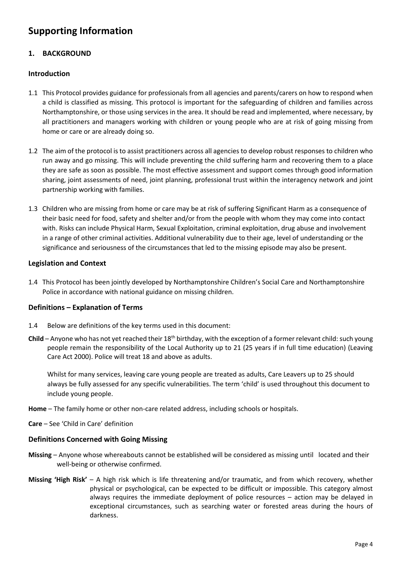# <span id="page-3-0"></span>**Supporting Information**

# <span id="page-3-1"></span>**1. BACKGROUND**

# <span id="page-3-2"></span>**Introduction**

- 1.1 This Protocol provides guidance for professionals from all agencies and parents/carers on how to respond when a child is classified as missing. This protocol is important for the safeguarding of children and families across Northamptonshire, or those using services in the area. It should be read and implemented, where necessary, by all practitioners and managers working with children or young people who are at risk of going missing from home or care or are already doing so.
- 1.2 The aim of the protocol is to assist practitioners across all agencies to develop robust responses to children who run away and go missing. This will include preventing the child suffering harm and recovering them to a place they are safe as soon as possible. The most effective assessment and support comes through good information sharing, joint assessments of need, joint planning, professional trust within the interagency network and joint partnership working with families.
- 1.3 Children who are missing from home or care may be at risk of suffering Significant Harm as a consequence of their basic need for food, safety and shelter and/or from the people with whom they may come into contact with. Risks can include Physical Harm, Sexual Exploitation, criminal exploitation, drug abuse and involvement in a range of other criminal activities. Additional vulnerability due to their age, level of understanding or the significance and seriousness of the circumstances that led to the missing episode may also be present.

# <span id="page-3-3"></span>**Legislation and Context**

1.4 This Protocol has been jointly developed by Northamptonshire Children's Social Care and Northamptonshire Police in accordance with national guidance on missing children.

# <span id="page-3-4"></span>**Definitions – Explanation of Terms**

- 1.4 Below are definitions of the key terms used in this document:
- **Child** Anyone who has not yet reached their 18th birthday, with the exception of a former relevant child: such young people remain the responsibility of the Local Authority up to 21 (25 years if in full time education) (Leaving Care Act 2000). Police will treat 18 and above as adults.

Whilst for many services, leaving care young people are treated as adults, Care Leavers up to 25 should always be fully assessed for any specific vulnerabilities. The term 'child' is used throughout this document to include young people.

**Home** – The family home or other non-care related address, including schools or hospitals.

**Care** – See 'Child in Care' definition

# **Definitions Concerned with Going Missing**

- **Missing** Anyone whose whereabouts cannot be established will be considered as missing until located and their well-being or otherwise confirmed.
- **Missing 'High Risk'** A high risk which is life threatening and/or traumatic, and from which recovery, whether physical or psychological, can be expected to be difficult or impossible. This category almost always requires the immediate deployment of police resources – action may be delayed in exceptional circumstances, such as searching water or forested areas during the hours of darkness.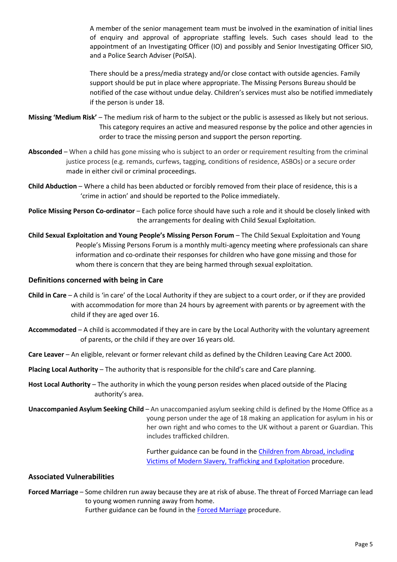A member of the senior management team must be involved in the examination of initial lines of enquiry and approval of appropriate staffing levels. Such cases should lead to the appointment of an Investigating Officer (IO) and possibly and Senior Investigating Officer SIO, and a Police Search Adviser (PoISA).

There should be a press/media strategy and/or close contact with outside agencies. Family support should be put in place where appropriate. The Missing Persons Bureau should be notified of the case without undue delay. Children's services must also be notified immediately if the person is under 18.

**Missing 'Medium Risk'** – The medium risk of harm to the subject or the public is assessed as likely but not serious. This category requires an active and measured response by the police and other agencies in order to trace the missing person and support the person reporting.

- **Absconded** When a child has gone missing who is subject to an order or requirement resulting from the criminal justice process (e.g. remands, curfews, tagging, conditions of residence, ASBOs) or a secure order made in either civil or criminal proceedings.
- **Child Abduction** Where a child has been abducted or forcibly removed from their place of residence, this is a 'crime in action' and should be reported to the Police immediately.

**Police Missing Person Co-ordinator** – Each police force should have such a role and it should be closely linked with the arrangements for dealing with Child Sexual Exploitation.

**Child Sexual Exploitation and Young People's Missing Person Forum** – The Child Sexual Exploitation and Young People's Missing Persons Forum is a monthly multi-agency meeting where professionals can share information and co-ordinate their responses for children who have gone missing and those for whom there is concern that they are being harmed through sexual exploitation.

# **Definitions concerned with being in Care**

- **Child in Care** A child is 'in care' of the Local Authority if they are subject to a court order, or if they are provided with accommodation for more than 24 hours by agreement with parents or by agreement with the child if they are aged over 16.
- **Accommodated** A child is accommodated if they are in care by the Local Authority with the voluntary agreement of parents, or the child if they are over 16 years old.
- **Care Leaver** An eligible, relevant or former relevant child as defined by the Children Leaving Care Act 2000.

**Placing Local Authority** – The authority that is responsible for the child's care and Care planning.

- **Host Local Authority** The authority in which the young person resides when placed outside of the Placing authority's area.
- **Unaccompanied Asylum Seeking Child** An unaccompanied asylum seeking child is defined by the Home Office as a young person under the age of 18 making an application for asylum in his or her own right and who comes to the UK without a parent or Guardian. This includes trafficked children.

Further guidance can be found in th[e Children from Abroad, including](http://northamptonshirescb.proceduresonline.com/p_ch_from_abroad.html)  [Victims of Modern Slavery, Trafficking and Exploitation](http://northamptonshirescb.proceduresonline.com/p_ch_from_abroad.html) procedure.

# **Associated Vulnerabilities**

**Forced Marriage** – Some children run away because they are at risk of abuse. The threat of Forced Marriage can lead to young women running away from home. Further guidance can be found in th[e Forced Marriage](http://northamptonshirescb.proceduresonline.com/p_force_marriage.html) procedure.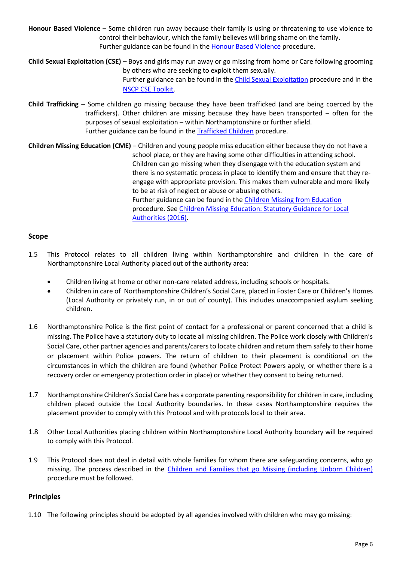**Honour Based Violence** – Some children run away because their family is using or threatening to use violence to control their behaviour, which the family believes will bring shame on the family. Further guidance can be found in the **Honour Based Violence** procedure.

**Child Sexual Exploitation (CSE)** – Boys and girls may run away or go missing from home or Care following grooming by others who are seeking to exploit them sexually. Further guidance can be found in the [Child Sexual Exploitation](http://northamptonshirescb.proceduresonline.com/p_ch_sexual_exploit.html) procedure and in the [NSCP CSE Toolkit.](http://www.northamptonshirescb.org.uk/about-northamptonshire-safeguarding-children-partnership/publications/cse-toolkit/)

**Child Trafficking** – Some children go missing because they have been trafficked (and are being coerced by the traffickers). Other children are missing because they have been transported – often for the purposes of sexual exploitation – within Northamptonshire or further afield. Further guidance can be found in th[e Trafficked Children](http://northamptonshirescb.proceduresonline.com/p_trafficked_ch.html) procedure.

**Children Missing Education (CME)** – Children and young people miss education either because they do not have a school place, or they are having some other difficulties in attending school. Children can go missing when they disengage with the education system and there is no systematic process in place to identify them and ensure that they reengage with appropriate provision. This makes them vulnerable and more likely to be at risk of neglect or abuse or abusing others. Further guidance can be found in th[e Children Missing from Education](http://northamptonshirescb.proceduresonline.com/p_ch_missing_educ.html) procedure. Se[e Children Missing Education: Statutory Guidance for Local](https://assets.publishing.service.gov.uk/government/uploads/system/uploads/attachment_data/file/550416/Children_Missing_Education_-_statutory_guidance.pdf)  [Authorities \(2016\).](https://assets.publishing.service.gov.uk/government/uploads/system/uploads/attachment_data/file/550416/Children_Missing_Education_-_statutory_guidance.pdf)

# <span id="page-5-0"></span>**Scope**

- 1.5 This Protocol relates to all children living within Northamptonshire and children in the care of Northamptonshire Local Authority placed out of the authority area:
	- Children living at home or other non-care related address, including schools or hospitals.
	- Children in care of Northamptonshire Children's Social Care, placed in Foster Care or Children's Homes (Local Authority or privately run, in or out of county). This includes unaccompanied asylum seeking children.
- 1.6 Northamptonshire Police is the first point of contact for a professional or parent concerned that a child is missing. The Police have a statutory duty to locate all missing children. The Police work closely with Children's Social Care, other partner agencies and parents/carersto locate children and return them safely to their home or placement within Police powers. The return of children to their placement is conditional on the circumstances in which the children are found (whether Police Protect Powers apply, or whether there is a recovery order or emergency protection order in place) or whether they consent to being returned.
- 1.7 Northamptonshire Children's Social Care has a corporate parenting responsibility for children in care, including children placed outside the Local Authority boundaries. In these cases Northamptonshire requires the placement provider to comply with this Protocol and with protocols local to their area.
- 1.8 Other Local Authorities placing children within Northamptonshire Local Authority boundary will be required to comply with this Protocol.
- 1.9 This Protocol does not deal in detail with whole families for whom there are safeguarding concerns, who go missing. The process described in the Children [and Families that go Missing \(including Unborn Children\)](http://northamptonshirescb.proceduresonline.com/p_ch_fam_go_missing.html) procedure must be followed.

# <span id="page-5-1"></span>**Principles**

1.10 The following principles should be adopted by all agencies involved with children who may go missing: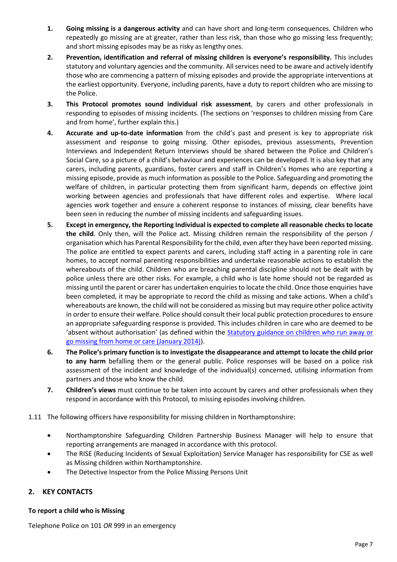- **1. Going missing is a dangerous activity** and can have short and long-term consequences. Children who repeatedly go missing are at greater, rather than less risk, than those who go missing less frequently; and short missing episodes may be as risky as lengthy ones.
- **2. Prevention, identification and referral of missing children is everyone's responsibility.** This includes statutory and voluntary agencies and the community. All services need to be aware and actively identify those who are commencing a pattern of missing episodes and provide the appropriate interventions at the earliest opportunity. Everyone, including parents, have a duty to report children who are missing to the Police.
- **3. This Protocol promotes sound individual risk assessment**, by carers and other professionals in responding to episodes of missing incidents. (The sections on 'responses to children missing from Care and from home', further explain this.)
- **4. Accurate and up-to-date information** from the child's past and present is key to appropriate risk assessment and response to going missing. Other episodes, previous assessments, Prevention Interviews and Independent Return Interviews should be shared between the Police and Children's Social Care, so a picture of a child's behaviour and experiences can be developed. It is also key that any carers, including parents, guardians, foster carers and staff in Children's Homes who are reporting a missing episode, provide as much information as possible to the Police. Safeguarding and promoting the welfare of children, in particular protecting them from significant harm, depends on effective joint working between agencies and professionals that have different roles and expertise. Where local agencies work together and ensure a coherent response to instances of missing, clear benefits have been seen in reducing the number of missing incidents and safeguarding issues.
- **5. Except in emergency, the Reporting Individual is expected to complete all reasonable checks to locate the child**. Only then, will the Police act. Missing children remain the responsibility of the person / organisation which has Parental Responsibility for the child, even after they have been reported missing. The police are entitled to expect parents and carers, including staff acting in a parenting role in care homes, to accept normal parenting responsibilities and undertake reasonable actions to establish the whereabouts of the child. Children who are breaching parental discipline should not be dealt with by police unless there are other risks. For example, a child who is late home should not be regarded as missing until the parent or carer has undertaken enquiries to locate the child. Once those enquiries have been completed, it may be appropriate to record the child as missing and take actions. When a child's whereabouts are known, the child will not be considered as missing but may require other police activity in order to ensure their welfare. Police should consult their local public protection procedures to ensure an appropriate safeguarding response is provided. This includes children in care who are deemed to be 'absent without authorisation' (as defined within the [Statutory guidance on children who run away or](https://assets.publishing.service.gov.uk/government/uploads/system/uploads/attachment_data/file/307867/Statutory_Guidance_-_Missing_from_care__3_.pdf)  [go missing from home or care \(January 2014\)\)](https://assets.publishing.service.gov.uk/government/uploads/system/uploads/attachment_data/file/307867/Statutory_Guidance_-_Missing_from_care__3_.pdf).
- **6. The Police's primary function is to investigate the disappearance and attempt to locate the child prior to any harm** befalling them or the general public. Police responses will be based on a police risk assessment of the incident and knowledge of the individual(s) concerned, utilising information from partners and those who know the child.
- **7. Children's views** must continue to be taken into account by carers and other professionals when they respond in accordance with this Protocol, to missing episodes involving children.
- 1.11 The following officers have responsibility for missing children in Northamptonshire:
	- Northamptonshire Safeguarding Children Partnership Business Manager will help to ensure that reporting arrangements are managed in accordance with this protocol.
	- The RISE (Reducing Incidents of Sexual Exploitation) Service Manager has responsibility for CSE as well as Missing children within Northamptonshire.
	- The Detective Inspector from the Police Missing Persons Unit

# <span id="page-6-0"></span>**2. KEY CONTACTS**

# **To report a child who is Missing**

Telephone Police on 101 *OR* 999 in an emergency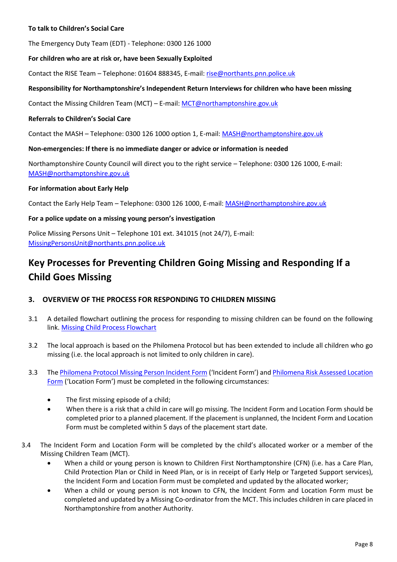# **To talk to Children's Social Care**

The Emergency Duty Team (EDT) - Telephone: 0300 126 1000

### **For children who are at risk or, have been Sexually Exploited**

Contact the RISE Team – Telephone: 01604 888345, E-mail[: rise@northants.pnn.police.uk](mailto:rise@northants.pnn.police.uk)

### **Responsibility for Northamptonshire's Independent Return Interviews for children who have been missing**

Contact the Missing Children Team (MCT) – E-mail: [MCT@northamptonshire.gov.uk](mailto:MCT@northamptonshire.gov.uk)

### **Referrals to Children's Social Care**

Contact the MASH – Telephone: 0300 126 1000 option 1, E-mail: [MASH@northamptonshire.gov.uk](mailto:MASH@northamptonshire.gov.uk)

### **Non-emergencies: If there is no immediate danger or advice or information is needed**

Northamptonshire County Council will direct you to the right service – Telephone: 0300 126 1000, E-mail: [MASH@northamptonshire.gov.uk](mailto:MASH@northamptonshire.gov.uk)

### **For information about Early Help**

Contact the Early Help Team - Telephone: 0300 126 1000, E-mail: [MASH@northamptonshire.gov.uk](mailto:MASH@northamptonshire.gov.uk)

### **For a police update on a missing young person's investigation**

Police Missing Persons Unit – Telephone 101 ext. 341015 (not 24/7), E-mail: [MissingPersonsUnit@northants.pnn.police.uk](mailto:MissingPersonsUnit@northants.pnn.police.uk) 

# <span id="page-7-0"></span>**Key Processes for Preventing Children Going Missing and Responding If a Child Goes Missing**

### <span id="page-7-1"></span>**3. OVERVIEW OF THE PROCESS FOR RESPONDING TO CHILDREN MISSING**

- 3.1 A detailed flowchart outlining the process for responding to missing children can be found on the following link. [Missing Child Process Flowchart](http://www.northamptonshirescb.org.uk/assets/legacy/getasset?id=fAAxADUANAAwAHwAfABUAHIAdQBlAHwAfAAwAHwA0)
- 3.2 The local approach is based on the Philomena Protocol but has been extended to include all children who go missing (i.e. the local approach is not limited to only children in care).
- 3.3 Th[e Philomena Protocol Missing Person Incident Form](http://www.northamptonshirescb.org.uk/assets/legacy/getasset?id=fAAxADUANAAxAHwAfABUAHIAdQBlAHwAfAAwAHwA0) ('Incident Form') and [Philomena Risk Assessed Location](http://www.northamptonshirescb.org.uk/assets/legacy/getasset?id=fAAxADUANAAyAHwAfABUAHIAdQBlAHwAfAAwAHwA0)  [Form](http://www.northamptonshirescb.org.uk/assets/legacy/getasset?id=fAAxADUANAAyAHwAfABUAHIAdQBlAHwAfAAwAHwA0) ('Location Form') must be completed in the following circumstances:
	- The first missing episode of a child;
	- When there is a risk that a child in care will go missing. The Incident Form and Location Form should be completed prior to a planned placement. If the placement is unplanned, the Incident Form and Location Form must be completed within 5 days of the placement start date.
- 3.4 The Incident Form and Location Form will be completed by the child's allocated worker or a member of the Missing Children Team (MCT).
	- When a child or young person is known to Children First Northamptonshire (CFN) (i.e. has a Care Plan, Child Protection Plan or Child in Need Plan, or is in receipt of Early Help or Targeted Support services), the Incident Form and Location Form must be completed and updated by the allocated worker;
	- When a child or young person is not known to CFN, the Incident Form and Location Form must be completed and updated by a Missing Co-ordinator from the MCT. This includes children in care placed in Northamptonshire from another Authority.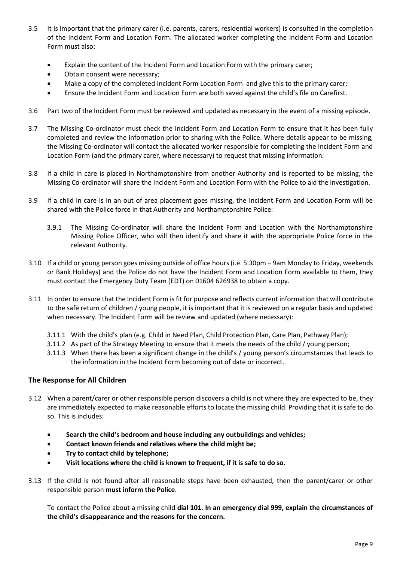- 3.5 It is important that the primary carer (i.e. parents, carers, residential workers) is consulted in the completion of the Incident Form and Location Form. The allocated worker completing the Incident Form and Location Form must also:
	- Explain the content of the Incident Form and Location Form with the primary carer;
	- Obtain consent were necessary;
	- Make a copy of the completed Incident Form Location Form and give this to the primary carer;
	- Ensure the Incident Form and Location Form are both saved against the child's file on Carefirst.
- 3.6 Part two of the Incident Form must be reviewed and updated as necessary in the event of a missing episode.
- 3.7 The Missing Co-ordinator must check the Incident Form and Location Form to ensure that it has been fully completed and review the information prior to sharing with the Police. Where details appear to be missing, the Missing Co-ordinator will contact the allocated worker responsible for completing the Incident Form and Location Form (and the primary carer, where necessary) to request that missing information.
- 3.8 If a child in care is placed in Northamptonshire from another Authority and is reported to be missing, the Missing Co-ordinator will share the Incident Form and Location Form with the Police to aid the investigation.
- 3.9 If a child in care is in an out of area placement goes missing, the Incident Form and Location Form will be shared with the Police force in that Authority and Northamptonshire Police:
	- 3.9.1 The Missing Co-ordinator will share the Incident Form and Location with the Northamptonshire Missing Police Officer, who will then identify and share it with the appropriate Police force in the relevant Authority.
- 3.10 If a child or young person goes missing outside of office hours (i.e. 5.30pm 9am Monday to Friday, weekends or Bank Holidays) and the Police do not have the Incident Form and Location Form available to them, they must contact the Emergency Duty Team (EDT) on 01604 626938 to obtain a copy.
- 3.11 In order to ensure that the Incident Form is fit for purpose and reflects current information that will contribute to the safe return of children / young people, it is important that it is reviewed on a regular basis and updated when necessary. The Incident Form will be review and updated (where necessary):
	- 3.11.1 With the child's plan (e.g. Child in Need Plan, Child Protection Plan, Care Plan, Pathway Plan);
	- 3.11.2 As part of the Strategy Meeting to ensure that it meets the needs of the child / young person;
	- 3.11.3 When there has been a significant change in the child's / young person's circumstances that leads to the information in the Incident Form becoming out of date or incorrect.

# <span id="page-8-0"></span>**The Response for All Children**

- 3.12 When a parent/carer or other responsible person discovers a child is not where they are expected to be, they are immediately expected to make reasonable efforts to locate the missing child. Providing that it is safe to do so. This is includes:
	- **Search the child's bedroom and house including any outbuildings and vehicles;**
	- **Contact known friends and relatives where the child might be;**
	- **Try to contact child by telephone;**
	- **Visit locations where the child is known to frequent, if it is safe to do so.**
- 3.13 If the child is not found after all reasonable steps have been exhausted, then the parent/carer or other responsible person **must inform the Police**.

To contact the Police about a missing child **dial 101**. **In an emergency dial 999, explain the circumstances of the child's disappearance and the reasons for the concern.**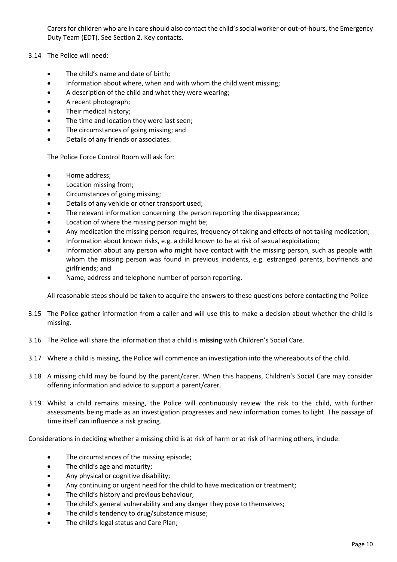Carers for children who are in care should also contact the child's social worker or out-of-hours, the Emergency Duty Team (EDT). See Section 2. Key contacts.

- 3.14 The Police will need:
	- The child's name and date of birth;
	- Information about where, when and with whom the child went missing;
	- A description of the child and what they were wearing;
	- A recent photograph;
	- Their medical history;
	- The time and location they were last seen;
	- The circumstances of going missing; and
	- Details of any friends or associates.

The Police Force Control Room will ask for:

- Home address:
- Location missing from;
- Circumstances of going missing;
- Details of any vehicle or other transport used;
- The relevant information concerning the person reporting the disappearance;
- Location of where the missing person might be;
- Any medication the missing person requires, frequency of taking and effects of not taking medication;
- Information about known risks, e.g. a child known to be at risk of sexual exploitation;
- Information about any person who might have contact with the missing person, such as people with whom the missing person was found in previous incidents, e.g. estranged parents, boyfriends and girlfriends; and
- Name, address and telephone number of person reporting.

All reasonable steps should be taken to acquire the answers to these questions before contacting the Police

- 3.15 The Police gather information from a caller and will use this to make a decision about whether the child is missing.
- 3.16 The Police will share the information that a child is **missing** with Children's Social Care.
- 3.17 Where a child is missing, the Police will commence an investigation into the whereabouts of the child.
- 3.18 A missing child may be found by the parent/carer. When this happens, Children's Social Care may consider offering information and advice to support a parent/carer.
- 3.19 Whilst a child remains missing, the Police will continuously review the risk to the child, with further assessments being made as an investigation progresses and new information comes to light. The passage of time itself can influence a risk grading.

Considerations in deciding whether a missing child is at risk of harm or at risk of harming others, include:

- The circumstances of the missing episode;
- The child's age and maturity;
- Any physical or cognitive disability;
- Any continuing or urgent need for the child to have medication or treatment;
- The child's history and previous behaviour;
- The child's general vulnerability and any danger they pose to themselves;
- The child's tendency to drug/substance misuse;
- The child's legal status and Care Plan;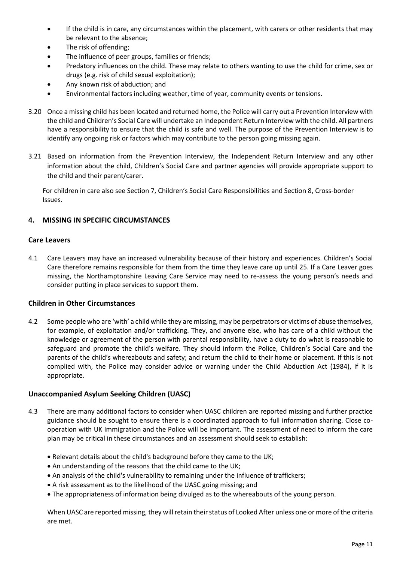- If the child is in care, any circumstances within the placement, with carers or other residents that may be relevant to the absence;
- The risk of offending;
- The influence of peer groups, families or friends;
- Predatory influences on the child. These may relate to others wanting to use the child for crime, sex or drugs (e.g. risk of child sexual exploitation);
- Any known risk of abduction; and
- Environmental factors including weather, time of year, community events or tensions.
- 3.20 Once a missing child has been located and returned home, the Police will carry out a Prevention Interview with the child and Children's Social Care will undertake an Independent Return Interview with the child. All partners have a responsibility to ensure that the child is safe and well. The purpose of the Prevention Interview is to identify any ongoing risk or factors which may contribute to the person going missing again.
- 3.21 Based on information from the Prevention Interview, the Independent Return Interview and any other information about the child, Children's Social Care and partner agencies will provide appropriate support to the child and their parent/carer.

For children in care also see Section 7, Children's Social Care Responsibilities and Section 8, Cross-border Issues.

# <span id="page-10-0"></span>**4. MISSING IN SPECIFIC CIRCUMSTANCES**

# <span id="page-10-1"></span>**Care Leavers**

4.1 Care Leavers may have an increased vulnerability because of their history and experiences. Children's Social Care therefore remains responsible for them from the time they leave care up until 25. If a Care Leaver goes missing, the Northamptonshire Leaving Care Service may need to re-assess the young person's needs and consider putting in place services to support them.

# <span id="page-10-2"></span>**Children in Other Circumstances**

4.2 Some people who are 'with' a child while they are missing, may be perpetrators or victims of abuse themselves, for example, of exploitation and/or trafficking. They, and anyone else, who has care of a child without the knowledge or agreement of the person with parental responsibility, have a duty to do what is reasonable to safeguard and promote the child's welfare. They should inform the Police, Children's Social Care and the parents of the child's whereabouts and safety; and return the child to their home or placement. If this is not complied with, the Police may consider advice or warning under the Child Abduction Act (1984), if it is appropriate.

# <span id="page-10-3"></span>**Unaccompanied Asylum Seeking Children (UASC)**

- 4.3 There are many additional factors to consider when UASC children are reported missing and further practice guidance should be sought to ensure there is a coordinated approach to full information sharing. Close cooperation with UK Immigration and the Police will be important. The assessment of need to inform the care plan may be critical in these circumstances and an assessment should seek to establish:
	- Relevant details about the child's background before they came to the UK;
	- An understanding of the reasons that the child came to the UK;
	- An analysis of the child's vulnerability to remaining under the influence of traffickers;
	- A risk assessment as to the likelihood of the UASC going missing; and
	- The appropriateness of information being divulged as to the whereabouts of the young person.

When UASC are reported missing, they will retain their status of Looked After unless one or more of the criteria are met.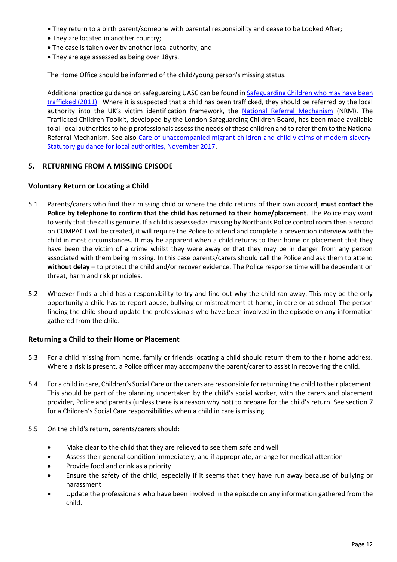- They return to a birth parent/someone with parental responsibility and cease to be Looked After;
- They are located in another country;
- The case is taken over by another local authority; and
- They are age assessed as being over 18yrs.

The Home Office should be informed of the child/young person's missing status.

Additional practice guidance on safeguarding UASC can be found in [Safeguarding Children who may have been](https://www.gov.uk/government/uploads/system/uploads/attachment_data/file/177033/DFE-00084-2011.pdf)  [trafficked](https://www.gov.uk/government/uploads/system/uploads/attachment_data/file/177033/DFE-00084-2011.pdf) (2011). Where it is suspected that a child has been trafficked, they should be referred by the local authority into the UK's victim identification framework, the [National Referral Mechanism](http://hillingdonlscb.org.uk/professionals/useful-guidance/child-trafficking/) (NRM). The Trafficked Children Toolkit, developed by the London Safeguarding Children Board, has been made available to all local authorities to help professionals assess the needs of these children and to refer them to the National Referral Mechanism. See also [Care of unaccompanied migrant children and child victims of modern slavery-](https://www.gov.uk/government/uploads/system/uploads/attachment_data/file/656429/UASC_Statutory_Guidance_2017.pdf)[Statutory guidance for local authorities, November 2017.](https://www.gov.uk/government/uploads/system/uploads/attachment_data/file/656429/UASC_Statutory_Guidance_2017.pdf)

### <span id="page-11-0"></span>**5. RETURNING FROM A MISSING EPISODE**

### <span id="page-11-1"></span>**Voluntary Return or Locating a Child**

- 5.1 Parents/carers who find their missing child or where the child returns of their own accord, **must contact the Police by telephone to confirm that the child has returned to their home/placement**. The Police may want to verify that the call is genuine. If a child is assessed as missing by Northants Police control room then a record on COMPACT will be created, it will require the Police to attend and complete a prevention interview with the child in most circumstances. It may be apparent when a child returns to their home or placement that they have been the victim of a crime whilst they were away or that they may be in danger from any person associated with them being missing. In this case parents/carers should call the Police and ask them to attend **without delay** – to protect the child and/or recover evidence. The Police response time will be dependent on threat, harm and risk principles.
- 5.2 Whoever finds a child has a responsibility to try and find out why the child ran away. This may be the only opportunity a child has to report abuse, bullying or mistreatment at home, in care or at school. The person finding the child should update the professionals who have been involved in the episode on any information gathered from the child.

### <span id="page-11-2"></span>**Returning a Child to their Home or Placement**

- 5.3 For a child missing from home, family or friends locating a child should return them to their home address. Where a risk is present, a Police officer may accompany the parent/carer to assist in recovering the child.
- 5.4 For a child in care, Children's Social Care or the carers are responsible for returning the child to their placement. This should be part of the planning undertaken by the child's social worker, with the carers and placement provider, Police and parents (unless there is a reason why not) to prepare for the child's return. See section 7 for a Children's Social Care responsibilities when a child in care is missing.
- 5.5 On the child's return, parents/carers should:
	- Make clear to the child that they are relieved to see them safe and well
	- Assess their general condition immediately, and if appropriate, arrange for medical attention
	- Provide food and drink as a priority
	- Ensure the safety of the child, especially if it seems that they have run away because of bullying or harassment
	- Update the professionals who have been involved in the episode on any information gathered from the child.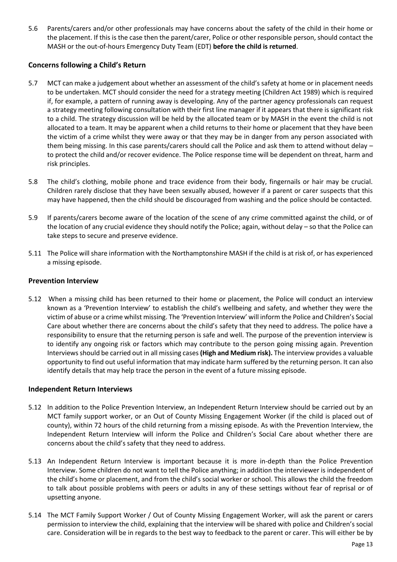5.6 Parents/carers and/or other professionals may have concerns about the safety of the child in their home or the placement. If this is the case then the parent/carer, Police or other responsible person, should contact the MASH or the out-of-hours Emergency Duty Team (EDT) **before the child is returned**.

# <span id="page-12-0"></span>**Concerns following a Child's Return**

- 5.7 MCT can make a judgement about whether an assessment of the child's safety at home or in placement needs to be undertaken. MCT should consider the need for a strategy meeting (Children Act 1989) which is required if, for example, a pattern of running away is developing. Any of the partner agency professionals can request a strategy meeting following consultation with their first line manager if it appears that there is significant risk to a child. The strategy discussion will be held by the allocated team or by MASH in the event the child is not allocated to a team. It may be apparent when a child returns to their home or placement that they have been the victim of a crime whilst they were away or that they may be in danger from any person associated with them being missing. In this case parents/carers should call the Police and ask them to attend without delay – to protect the child and/or recover evidence. The Police response time will be dependent on threat, harm and risk principles.
- 5.8 The child's clothing, mobile phone and trace evidence from their body, fingernails or hair may be crucial. Children rarely disclose that they have been sexually abused, however if a parent or carer suspects that this may have happened, then the child should be discouraged from washing and the police should be contacted.
- 5.9 If parents/carers become aware of the location of the scene of any crime committed against the child, or of the location of any crucial evidence they should notify the Police; again, without delay – so that the Police can take steps to secure and preserve evidence.
- 5.11 The Police will share information with the Northamptonshire MASH if the child is at risk of, or has experienced a missing episode.

# <span id="page-12-1"></span>**Prevention Interview**

5.12 When a missing child has been returned to their home or placement, the Police will conduct an interview known as a 'Prevention Interview' to establish the child's wellbeing and safety, and whether they were the victim of abuse or a crime whilst missing. The 'Prevention Interview' will inform the Police and Children's Social Care about whether there are concerns about the child's safety that they need to address. The police have a responsibility to ensure that the returning person is safe and well. The purpose of the prevention interview is to identify any ongoing risk or factors which may contribute to the person going missing again. Prevention Interviews should be carried out in all missing cases **(High and Medium risk).** The interview provides a valuable opportunity to find out useful information that may indicate harm suffered by the returning person. It can also identify details that may help trace the person in the event of a future missing episode.

# <span id="page-12-2"></span>**Independent Return Interviews**

- 5.12 In addition to the Police Prevention Interview, an Independent Return Interview should be carried out by an MCT family support worker, or an Out of County Missing Engagement Worker (if the child is placed out of county), within 72 hours of the child returning from a missing episode. As with the Prevention Interview, the Independent Return Interview will inform the Police and Children's Social Care about whether there are concerns about the child's safety that they need to address.
- 5.13 An Independent Return Interview is important because it is more in-depth than the Police Prevention Interview. Some children do not want to tell the Police anything; in addition the interviewer is independent of the child's home or placement, and from the child's social worker or school. This allows the child the freedom to talk about possible problems with peers or adults in any of these settings without fear of reprisal or of upsetting anyone.
- 5.14 The MCT Family Support Worker / Out of County Missing Engagement Worker, will ask the parent or carers permission to interview the child, explaining that the interview will be shared with police and Children's social care. Consideration will be in regards to the best way to feedback to the parent or carer. This will either be by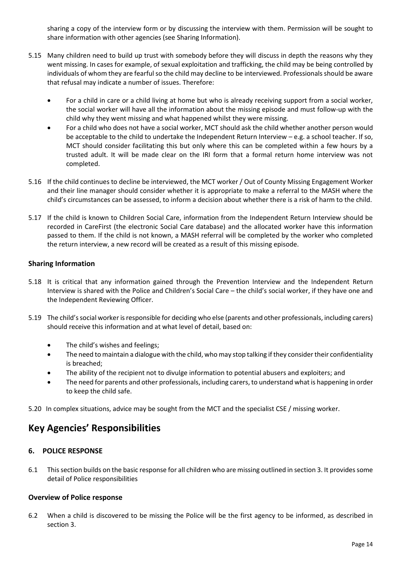sharing a copy of the interview form or by discussing the interview with them. Permission will be sought to share information with other agencies (see Sharing Information).

- 5.15 Many children need to build up trust with somebody before they will discuss in depth the reasons why they went missing. In cases for example, of sexual exploitation and trafficking, the child may be being controlled by individuals of whom they are fearful so the child may decline to be interviewed. Professionals should be aware that refusal may indicate a number of issues. Therefore:
	- For a child in care or a child living at home but who is already receiving support from a social worker, the social worker will have all the information about the missing episode and must follow-up with the child why they went missing and what happened whilst they were missing.
	- For a child who does not have a social worker, MCT should ask the child whether another person would be acceptable to the child to undertake the Independent Return Interview – e.g. a school teacher. If so, MCT should consider facilitating this but only where this can be completed within a few hours by a trusted adult. It will be made clear on the IRI form that a formal return home interview was not completed.
- 5.16 If the child continues to decline be interviewed, the MCT worker / Out of County Missing Engagement Worker and their line manager should consider whether it is appropriate to make a referral to the MASH where the child's circumstances can be assessed, to inform a decision about whether there is a risk of harm to the child.
- 5.17 If the child is known to Children Social Care, information from the Independent Return Interview should be recorded in CareFirst (the electronic Social Care database) and the allocated worker have this information passed to them. If the child is not known, a MASH referral will be completed by the worker who completed the return interview, a new record will be created as a result of this missing episode.

# <span id="page-13-0"></span>**Sharing Information**

- 5.18 It is critical that any information gained through the Prevention Interview and the Independent Return Interview is shared with the Police and Children's Social Care – the child's social worker, if they have one and the Independent Reviewing Officer.
- 5.19 The child's social worker is responsible for deciding who else (parents and other professionals, including carers) should receive this information and at what level of detail, based on:
	- The child's wishes and feelings;
	- The need to maintain a dialogue with the child, who may stop talking if they consider their confidentiality is breached;
	- The ability of the recipient not to divulge information to potential abusers and exploiters; and
	- The need for parents and other professionals, including carers, to understand what is happening in order to keep the child safe.

<span id="page-13-1"></span>5.20 In complex situations, advice may be sought from the MCT and the specialist CSE / missing worker.

# **Key Agencies' Responsibilities**

# <span id="page-13-2"></span>**6. POLICE RESPONSE**

6.1 This section builds on the basic response for all children who are missing outlined in section 3. It provides some detail of Police responsibilities

# <span id="page-13-3"></span>**Overview of Police response**

6.2 When a child is discovered to be missing the Police will be the first agency to be informed, as described in section 3.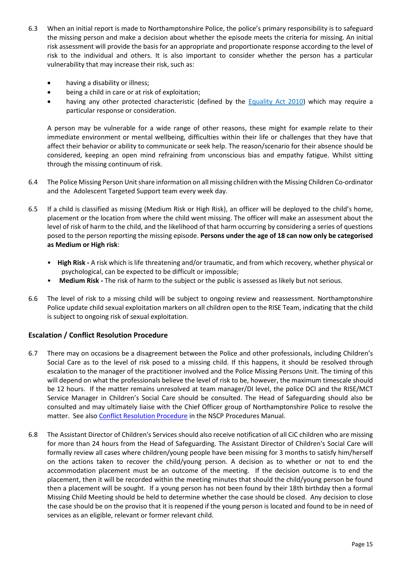- 6.3 When an initial report is made to Northamptonshire Police, the police's primary responsibility is to safeguard the missing person and make a decision about whether the episode meets the criteria for missing. An initial risk assessment will provide the basis for an appropriate and proportionate response according to the level of risk to the individual and others. It is also important to consider whether the person has a particular vulnerability that may increase their risk, such as:
	- having a disability or illness;
	- being a child in care or at risk of exploitation;
	- having any other protected characteristic (defined by the [Equality Act 2010\)](http://www.legislation.gov.uk/ukpga/2010/15/contents) which may require a particular response or consideration.

A person may be vulnerable for a wide range of other reasons, these might for example relate to their immediate environment or mental wellbeing, difficulties within their life or challenges that they have that affect their behavior or ability to communicate or seek help. The reason/scenario for their absence should be considered, keeping an open mind refraining from unconscious bias and empathy fatigue. Whilst sitting through the missing continuum of risk.

- 6.4 The Police Missing Person Unit share information on all missing children with the Missing Children Co-ordinator and the Adolescent Targeted Support team every week day.
- 6.5 If a child is classified as missing (Medium Risk or High Risk), an officer will be deployed to the child's home, placement or the location from where the child went missing. The officer will make an assessment about the level of risk of harm to the child, and the likelihood of that harm occurring by considering a series of questions posed to the person reporting the missing episode. **Persons under the age of 18 can now only be categorised as Medium or High risk**:
	- **High Risk -** A risk which is life threatening and/or traumatic, and from which recovery, whether physical or psychological, can be expected to be difficult or impossible;
	- **Medium Risk -** The risk of harm to the subject or the public is assessed as likely but not serious.
- 6.6 The level of risk to a missing child will be subject to ongoing review and reassessment. Northamptonshire Police update child sexual exploitation markers on all children open to the RISE Team, indicating that the child is subject to ongoing risk of sexual exploitation.

# <span id="page-14-0"></span>**Escalation / Conflict Resolution Procedure**

- 6.7 There may on occasions be a disagreement between the Police and other professionals, including Children's Social Care as to the level of risk posed to a missing child. If this happens, it should be resolved through escalation to the manager of the practitioner involved and the Police Missing Persons Unit. The timing of this will depend on what the professionals believe the level of risk to be, however, the maximum timescale should be 12 hours. If the matter remains unresolved at team manager/DI level, the police DCI and the RISE/MCT Service Manager in Children's Social Care should be consulted. The Head of Safeguarding should also be consulted and may ultimately liaise with the Chief Officer group of Northamptonshire Police to resolve the matter. See also [Conflict Resolution Procedure](http://northamptonshirescb.proceduresonline.com/p_conflict_res.html) in the NSCP Procedures Manual.
- 6.8 The Assistant Director of Children's Services should also receive notification of all CiC children who are missing for more than 24 hours from the Head of Safeguarding. The Assistant Director of Children's Social Care will formally review all cases where children/young people have been missing for 3 months to satisfy him/herself on the actions taken to recover the child/young person. A decision as to whether or not to end the accommodation placement must be an outcome of the meeting. If the decision outcome is to end the placement, then it will be recorded within the meeting minutes that should the child/young person be found then a placement will be sought. If a young person has not been found by their 18th birthday then a formal Missing Child Meeting should be held to determine whether the case should be closed. Any decision to close the case should be on the proviso that it is reopened if the young person is located and found to be in need of services as an eligible, relevant or former relevant child.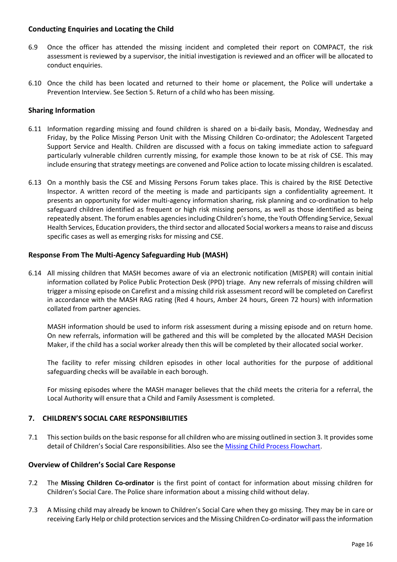# <span id="page-15-0"></span>**Conducting Enquiries and Locating the Child**

- 6.9 Once the officer has attended the missing incident and completed their report on COMPACT, the risk assessment is reviewed by a supervisor, the initial investigation is reviewed and an officer will be allocated to conduct enquiries.
- 6.10 Once the child has been located and returned to their home or placement, the Police will undertake a Prevention Interview. See Section 5. Return of a child who has been missing.

# <span id="page-15-1"></span>**Sharing Information**

- 6.11 Information regarding missing and found children is shared on a bi-daily basis, Monday, Wednesday and Friday, by the Police Missing Person Unit with the Missing Children Co-ordinator; the Adolescent Targeted Support Service and Health. Children are discussed with a focus on taking immediate action to safeguard particularly vulnerable children currently missing, for example those known to be at risk of CSE. This may include ensuring that strategy meetings are convened and Police action to locate missing children is escalated.
- 6.13 On a monthly basis the CSE and Missing Persons Forum takes place. This is chaired by the RISE Detective Inspector. A written record of the meeting is made and participants sign a confidentiality agreement. It presents an opportunity for wider multi-agency information sharing, risk planning and co-ordination to help safeguard children identified as frequent or high risk missing persons, as well as those identified as being repeatedly absent. The forum enables agencies including Children's home, the Youth Offending Service, Sexual Health Services, Education providers, the third sector and allocated Social workers a means to raise and discuss specific cases as well as emerging risks for missing and CSE.

### <span id="page-15-2"></span>**Response From The Multi-Agency Safeguarding Hub (MASH)**

6.14 All missing children that MASH becomes aware of via an electronic notification (MISPER) will contain initial information collated by Police Public Protection Desk (PPD) triage. Any new referrals of missing children will trigger a missing episode on Carefirst and a missing child risk assessment record will be completed on Carefirst in accordance with the MASH RAG rating (Red 4 hours, Amber 24 hours, Green 72 hours) with information collated from partner agencies.

MASH information should be used to inform risk assessment during a missing episode and on return home. On new referrals, information will be gathered and this will be completed by the allocated MASH Decision Maker, if the child has a social worker already then this will be completed by their allocated social worker.

The facility to refer missing children episodes in other local authorities for the purpose of additional safeguarding checks will be available in each borough.

For missing episodes where the MASH manager believes that the child meets the criteria for a referral, the Local Authority will ensure that a Child and Family Assessment is completed.

### <span id="page-15-3"></span>**7. CHILDREN'S SOCIAL CARE RESPONSIBILITIES**

7.1 This section builds on the basic response for all children who are missing outlined in section 3. It provides some detail of Children's Social Care responsibilities. Also see the Missing Child [Process Flowchart.](http://www.northamptonshirescb.org.uk/assets/legacy/getasset?id=fAAxADUANAAwAHwAfABUAHIAdQBlAHwAfAAwAHwA0)

### <span id="page-15-4"></span>**Overview of Children's Social Care Response**

- 7.2 The **Missing Children Co-ordinator** is the first point of contact for information about missing children for Children's Social Care. The Police share information about a missing child without delay.
- 7.3 A Missing child may already be known to Children's Social Care when they go missing. They may be in care or receiving Early Help or child protection services and the Missing Children Co-ordinator will pass the information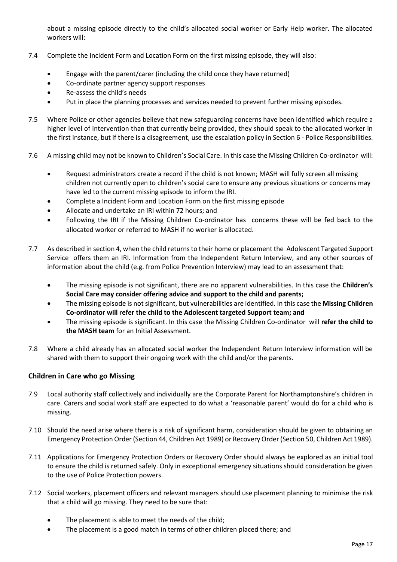about a missing episode directly to the child's allocated social worker or Early Help worker. The allocated workers will:

- 7.4 Complete the Incident Form and Location Form on the first missing episode, they will also:
	- Engage with the parent/carer (including the child once they have returned)
	- Co-ordinate partner agency support responses
	- Re-assess the child's needs
	- Put in place the planning processes and services needed to prevent further missing episodes.
- 7.5 Where Police or other agencies believe that new safeguarding concerns have been identified which require a higher level of intervention than that currently being provided, they should speak to the allocated worker in the first instance, but if there is a disagreement, use the escalation policy in Section 6 - Police Responsibilities.
- 7.6 A missing child may not be known to Children's Social Care. In this case the Missing Children Co-ordinator will:
	- Request administrators create a record if the child is not known; MASH will fully screen all missing children not currently open to children's social care to ensure any previous situations or concerns may have led to the current missing episode to inform the IRI.
	- Complete a Incident Form and Location Form on the first missing episode
	- Allocate and undertake an IRI within 72 hours; and
	- Following the IRI if the Missing Children Co-ordinator has concerns these will be fed back to the allocated worker or referred to MASH if no worker is allocated.
- 7.7 As described in section 4, when the child returns to their home or placement the Adolescent Targeted Support Service offers them an IRI. Information from the Independent Return Interview, and any other sources of information about the child (e.g. from Police Prevention Interview) may lead to an assessment that:
	- The missing episode is not significant, there are no apparent vulnerabilities. In this case the **Children's Social Care may consider offering advice and support to the child and parents;**
	- The missing episode is not significant, but vulnerabilities are identified. In this case the **Missing Children Co-ordinator will refer the child to the Adolescent targeted Support team; and**
	- The missing episode is significant. In this case the Missing Children Co-ordinator will **refer the child to the MASH team** for an Initial Assessment.
- 7.8 Where a child already has an allocated social worker the Independent Return Interview information will be shared with them to support their ongoing work with the child and/or the parents.

# <span id="page-16-0"></span>**Children in Care who go Missing**

- 7.9 Local authority staff collectively and individually are the Corporate Parent for Northamptonshire's children in care. Carers and social work staff are expected to do what a 'reasonable parent' would do for a child who is missing.
- 7.10 Should the need arise where there is a risk of significant harm, consideration should be given to obtaining an Emergency Protection Order (Section 44, Children Act 1989) or Recovery Order (Section 50, Children Act 1989).
- 7.11 Applications for Emergency Protection Orders or Recovery Order should always be explored as an initial tool to ensure the child is returned safely. Only in exceptional emergency situations should consideration be given to the use of Police Protection powers.
- 7.12 Social workers, placement officers and relevant managers should use placement planning to minimise the risk that a child will go missing. They need to be sure that:
	- The placement is able to meet the needs of the child;
	- The placement is a good match in terms of other children placed there; and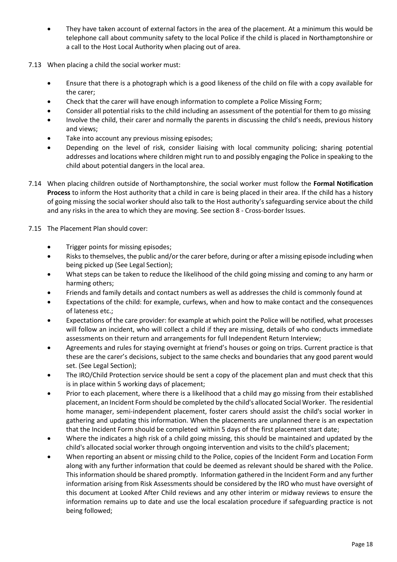- They have taken account of external factors in the area of the placement. At a minimum this would be telephone call about community safety to the local Police if the child is placed in Northamptonshire or a call to the Host Local Authority when placing out of area.
- 7.13 When placing a child the social worker must:
	- Ensure that there is a photograph which is a good likeness of the child on file with a copy available for the carer;
	- Check that the carer will have enough information to complete a Police Missing Form;
	- Consider all potential risks to the child including an assessment of the potential for them to go missing
	- Involve the child, their carer and normally the parents in discussing the child's needs, previous history and views;
	- Take into account any previous missing episodes;
	- Depending on the level of risk, consider liaising with local community policing; sharing potential addresses and locations where children might run to and possibly engaging the Police in speaking to the child about potential dangers in the local area.
- 7.14 When placing children outside of Northamptonshire, the social worker must follow the **Formal Notification Process** to inform the Host authority that a child in care is being placed in their area. If the child has a history of going missing the social worker should also talk to the Host authority's safeguarding service about the child and any risks in the area to which they are moving. See section 8 - Cross-border Issues.
- 7.15 The Placement Plan should cover:
	- Trigger points for missing episodes;
	- Risks to themselves, the public and/or the carer before, during or after a missing episode including when being picked up (See Legal Section);
	- What steps can be taken to reduce the likelihood of the child going missing and coming to any harm or harming others;
	- Friends and family details and contact numbers as well as addresses the child is commonly found at
	- Expectations of the child: for example, curfews, when and how to make contact and the consequences of lateness etc.;
	- Expectations of the care provider: for example at which point the Police will be notified, what processes will follow an incident, who will collect a child if they are missing, details of who conducts immediate assessments on their return and arrangements for full Independent Return Interview;
	- Agreements and rules for staying overnight at friend's houses or going on trips. Current practice is that these are the carer's decisions, subject to the same checks and boundaries that any good parent would set. (See Legal Section);
	- The IRO/Child Protection service should be sent a copy of the placement plan and must check that this is in place within 5 working days of placement;
	- Prior to each placement, where there is a likelihood that a child may go missing from their established placement, an Incident Form should be completed by the child's allocated Social Worker. The residential home manager, semi-independent placement, foster carers should assist the child's social worker in gathering and updating this information. When the placements are unplanned there is an expectation that the Incident Form should be completed within 5 days of the first placement start date;
	- Where the indicates a high risk of a child going missing, this should be maintained and updated by the child's allocated social worker through ongoing intervention and visits to the child's placement;
	- When reporting an absent or missing child to the Police, copies of the Incident Form and Location Form along with any further information that could be deemed as relevant should be shared with the Police. This information should be shared promptly. Information gathered in the Incident Form and any further information arising from Risk Assessments should be considered by the IRO who must have oversight of this document at Looked After Child reviews and any other interim or midway reviews to ensure the information remains up to date and use the local escalation procedure if safeguarding practice is not being followed;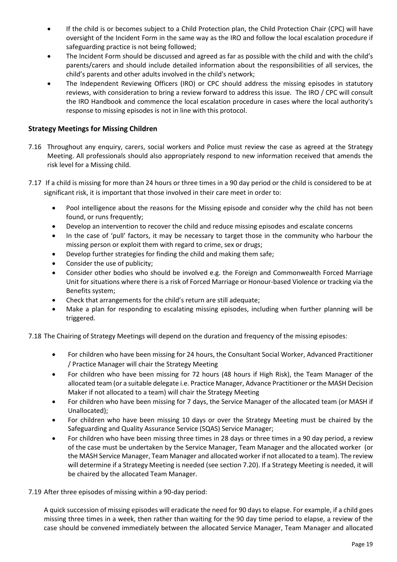- If the child is or becomes subject to a Child Protection plan, the Child Protection Chair (CPC) will have oversight of the Incident Form in the same way as the IRO and follow the local escalation procedure if safeguarding practice is not being followed;
- The Incident Form should be discussed and agreed as far as possible with the child and with the child's parents/carers and should include detailed information about the responsibilities of all services, the child's parents and other adults involved in the child's network;
- The Independent Reviewing Officers (IRO) or CPC should address the missing episodes in statutory reviews, with consideration to bring a review forward to address this issue. The IRO / CPC will consult the IRO Handbook and commence the local escalation procedure in cases where the local authority's response to missing episodes is not in line with this protocol.

# <span id="page-18-0"></span>**Strategy Meetings for Missing Children**

- 7.16 Throughout any enquiry, carers, social workers and Police must review the case as agreed at the Strategy Meeting. All professionals should also appropriately respond to new information received that amends the risk level for a Missing child.
- 7.17 If a child is missing for more than 24 hours or three times in a 90 day period or the child is considered to be at significant risk, it is important that those involved in their care meet in order to:
	- Pool intelligence about the reasons for the Missing episode and consider why the child has not been found, or runs frequently:
	- Develop an intervention to recover the child and reduce missing episodes and escalate concerns
	- In the case of 'pull' factors, it may be necessary to target those in the community who harbour the missing person or exploit them with regard to crime, sex or drugs;
	- Develop further strategies for finding the child and making them safe;
	- Consider the use of publicity;
	- Consider other bodies who should be involved e.g. the Foreign and Commonwealth Forced Marriage Unit for situations where there is a risk of Forced Marriage or Honour-based Violence or tracking via the Benefits system;
	- Check that arrangements for the child's return are still adequate;
	- Make a plan for responding to escalating missing episodes, including when further planning will be triggered.

7.18 The Chairing of Strategy Meetings will depend on the duration and frequency of the missing episodes:

- For children who have been missing for 24 hours, the Consultant Social Worker, Advanced Practitioner / Practice Manager will chair the Strategy Meeting
- For children who have been missing for 72 hours (48 hours if High Risk), the Team Manager of the allocated team (or a suitable delegate i.e. Practice Manager, Advance Practitioner or the MASH Decision Maker if not allocated to a team) will chair the Strategy Meeting
- For children who have been missing for 7 days, the Service Manager of the allocated team (or MASH if Unallocated);
- For children who have been missing 10 days or over the Strategy Meeting must be chaired by the Safeguarding and Quality Assurance Service (SQAS) Service Manager;
- For children who have been missing three times in 28 days or three times in a 90 day period, a review of the case must be undertaken by the Service Manager, Team Manager and the allocated worker (or the MASH Service Manager, Team Manager and allocated worker if not allocated to a team). The review will determine if a Strategy Meeting is needed (see section 7.20). If a Strategy Meeting is needed, it will be chaired by the allocated Team Manager.
- 7.19 After three episodes of missing within a 90-day period:

A quick succession of missing episodes will eradicate the need for 90 days to elapse. For example, if a child goes missing three times in a week, then rather than waiting for the 90 day time period to elapse, a review of the case should be convened immediately between the allocated Service Manager, Team Manager and allocated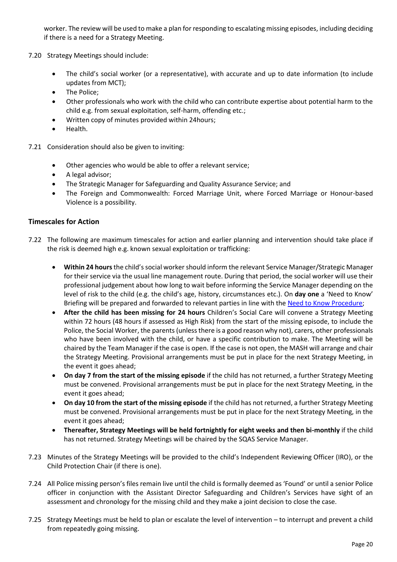worker. The review will be used to make a plan for responding to escalating missing episodes, including deciding if there is a need for a Strategy Meeting.

- 7.20 Strategy Meetings should include:
	- The child's social worker (or a representative), with accurate and up to date information (to include updates from MCT);
	- The Police:
	- Other professionals who work with the child who can contribute expertise about potential harm to the child e.g. from sexual exploitation, self-harm, offending etc.;
	- Written copy of minutes provided within 24hours;
	- Health.
- 7.21 Consideration should also be given to inviting:
	- Other agencies who would be able to offer a relevant service;
	- A legal advisor;
	- The Strategic Manager for Safeguarding and Quality Assurance Service; and
	- The Foreign and Commonwealth: Forced Marriage Unit, where Forced Marriage or Honour-based Violence is a possibility.

### <span id="page-19-0"></span>**Timescales for Action**

- 7.22 The following are maximum timescales for action and earlier planning and intervention should take place if the risk is deemed high e.g. known sexual exploitation or trafficking:
	- **Within 24 hours** the child's social worker should inform the relevant Service Manager/Strategic Manager for their service via the usual line management route. During that period, the social worker will use their professional judgement about how long to wait before informing the Service Manager depending on the level of risk to the child (e.g. the child's age, history, circumstances etc.). On **day one** a 'Need to Know' Briefing will be prepared and forwarded to relevant parties in line with the [Need to Know Procedure;](https://northamptonshirechildcare.proceduresonline.com/files/need_to_know_procedure.pdf)
	- **After the child has been missing for 24 hours** Children's Social Care will convene a Strategy Meeting within 72 hours (48 hours if assessed as High Risk) from the start of the missing episode, to include the Police, the Social Worker, the parents (unless there is a good reason why not), carers, other professionals who have been involved with the child, or have a specific contribution to make. The Meeting will be chaired by the Team Manager if the case is open. If the case is not open, the MASH will arrange and chair the Strategy Meeting. Provisional arrangements must be put in place for the next Strategy Meeting, in the event it goes ahead;
	- **On day 7 from the start of the missing episode** if the child has not returned, a further Strategy Meeting must be convened. Provisional arrangements must be put in place for the next Strategy Meeting, in the event it goes ahead;
	- **On day 10 from the start of the missing episode** if the child has not returned, a further Strategy Meeting must be convened. Provisional arrangements must be put in place for the next Strategy Meeting, in the event it goes ahead;
	- **Thereafter, Strategy Meetings will be held fortnightly for eight weeks and then bi-monthly** if the child has not returned. Strategy Meetings will be chaired by the SQAS Service Manager.
- 7.23 Minutes of the Strategy Meetings will be provided to the child's Independent Reviewing Officer (IRO), or the Child Protection Chair (if there is one).
- 7.24 All Police missing person's files remain live until the child is formally deemed as 'Found' or until a senior Police officer in conjunction with the Assistant Director Safeguarding and Children's Services have sight of an assessment and chronology for the missing child and they make a joint decision to close the case.
- 7.25 Strategy Meetings must be held to plan or escalate the level of intervention to interrupt and prevent a child from repeatedly going missing.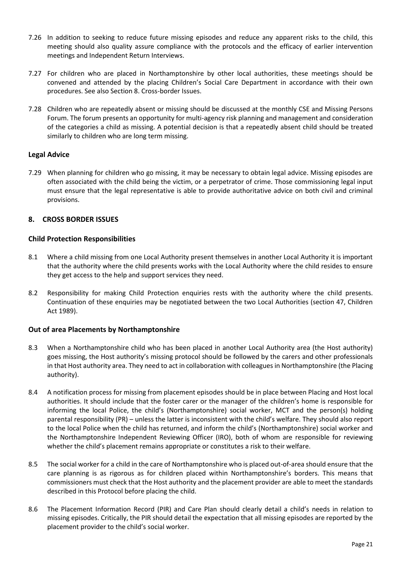- 7.26 In addition to seeking to reduce future missing episodes and reduce any apparent risks to the child, this meeting should also quality assure compliance with the protocols and the efficacy of earlier intervention meetings and Independent Return Interviews.
- 7.27 For children who are placed in Northamptonshire by other local authorities, these meetings should be convened and attended by the placing Children's Social Care Department in accordance with their own procedures. See also Section 8. Cross-border Issues.
- 7.28 Children who are repeatedly absent or missing should be discussed at the monthly CSE and Missing Persons Forum. The forum presents an opportunity for multi-agency risk planning and management and consideration of the categories a child as missing. A potential decision is that a repeatedly absent child should be treated similarly to children who are long term missing.

# <span id="page-20-0"></span>**Legal Advice**

7.29 When planning for children who go missing, it may be necessary to obtain legal advice. Missing episodes are often associated with the child being the victim, or a perpetrator of crime. Those commissioning legal input must ensure that the legal representative is able to provide authoritative advice on both civil and criminal provisions.

# <span id="page-20-1"></span>**8. CROSS BORDER ISSUES**

# <span id="page-20-2"></span>**Child Protection Responsibilities**

- 8.1 Where a child missing from one Local Authority present themselves in another Local Authority it is important that the authority where the child presents works with the Local Authority where the child resides to ensure they get access to the help and support services they need.
- 8.2 Responsibility for making Child Protection enquiries rests with the authority where the child presents. Continuation of these enquiries may be negotiated between the two Local Authorities (section 47, Children Act 1989).

# <span id="page-20-3"></span>**Out of area Placements by Northamptonshire**

- 8.3 When a Northamptonshire child who has been placed in another Local Authority area (the Host authority) goes missing, the Host authority's missing protocol should be followed by the carers and other professionals in that Host authority area. They need to act in collaboration with colleagues in Northamptonshire (the Placing authority).
- 8.4 A notification process for missing from placement episodes should be in place between Placing and Host local authorities. It should include that the foster carer or the manager of the children's home is responsible for informing the local Police, the child's (Northamptonshire) social worker, MCT and the person(s) holding parental responsibility (PR) – unless the latter is inconsistent with the child's welfare. They should also report to the local Police when the child has returned, and inform the child's (Northamptonshire) social worker and the Northamptonshire Independent Reviewing Officer (IRO), both of whom are responsible for reviewing whether the child's placement remains appropriate or constitutes a risk to their welfare.
- 8.5 The social worker for a child in the care of Northamptonshire who is placed out-of-area should ensure that the care planning is as rigorous as for children placed within Northamptonshire's borders. This means that commissioners must check that the Host authority and the placement provider are able to meet the standards described in this Protocol before placing the child.
- 8.6 The Placement Information Record (PIR) and Care Plan should clearly detail a child's needs in relation to missing episodes. Critically, the PIR should detail the expectation that all missing episodes are reported by the placement provider to the child's social worker.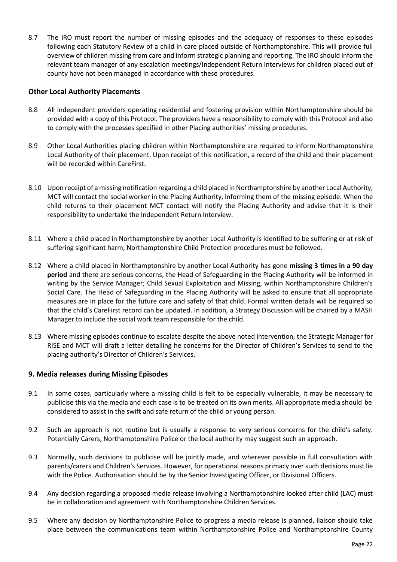8.7 The IRO must report the number of missing episodes and the adequacy of responses to these episodes following each Statutory Review of a child in care placed outside of Northamptonshire. This will provide full overview of children missing from care and inform strategic planning and reporting. The IRO should inform the relevant team manager of any escalation meetings/Independent Return Interviews for children placed out of county have not been managed in accordance with these procedures.

### <span id="page-21-0"></span>**Other Local Authority Placements**

- 8.8 All independent providers operating residential and fostering provision within Northamptonshire should be provided with a copy of this Protocol. The providers have a responsibility to comply with this Protocol and also to comply with the processes specified in other Placing authorities' missing procedures.
- 8.9 Other Local Authorities placing children within Northamptonshire are required to inform Northamptonshire Local Authority of their placement. Upon receipt of this notification, a record of the child and their placement will be recorded within CareFirst.
- 8.10 Upon receipt of a missing notification regarding a child placed in Northamptonshire by another Local Authority, MCT will contact the social worker in the Placing Authority, informing them of the missing episode. When the child returns to their placement MCT contact will notify the Placing Authority and advise that it is their responsibility to undertake the Independent Return Interview.
- 8.11 Where a child placed in Northamptonshire by another Local Authority is identified to be suffering or at risk of suffering significant harm, Northamptonshire Child Protection procedures must be followed.
- 8.12 Where a child placed in Northamptonshire by another Local Authority has gone **missing 3 times in a 90 day period** and there are serious concerns, the Head of Safeguarding in the Placing Authority will be informed in writing by the Service Manager; Child Sexual Exploitation and Missing, within Northamptonshire Children's Social Care. The Head of Safeguarding in the Placing Authority will be asked to ensure that all appropriate measures are in place for the future care and safety of that child. Formal written details will be required so that the child's CareFirst record can be updated. In addition, a Strategy Discussion will be chaired by a MASH Manager to include the social work team responsible for the child.
- 8.13 Where missing episodes continue to escalate despite the above noted intervention, the Strategic Manager for RISE and MCT will draft a letter detailing he concerns for the Director of Children's Services to send to the placing authority's Director of Children's Services.

# <span id="page-21-1"></span>**9. Media releases during Missing Episodes**

- 9.1 In some cases, particularly where a missing child is felt to be especially vulnerable, it may be necessary to publicise this via the media and each case is to be treated on its own merits. All appropriate media should be considered to assist in the swift and safe return of the child or young person.
- 9.2 Such an approach is not routine but is usually a response to very serious concerns for the child's safety. Potentially Carers, Northamptonshire Police or the local authority may suggest such an approach.
- 9.3 Normally, such decisions to publicise will be jointly made, and wherever possible in full consultation with parents/carers and Children's Services. However, for operational reasons primacy over such decisions must lie with the Police. Authorisation should be by the Senior Investigating Officer, or Divisional Officers.
- 9.4 Any decision regarding a proposed media release involving a Northamptonshire looked after child (LAC) must be in collaboration and agreement with Northamptonshire Children Services.
- 9.5 Where any decision by Northamptonshire Police to progress a media release is planned, liaison should take place between the communications team within Northamptonshire Police and Northamptonshire County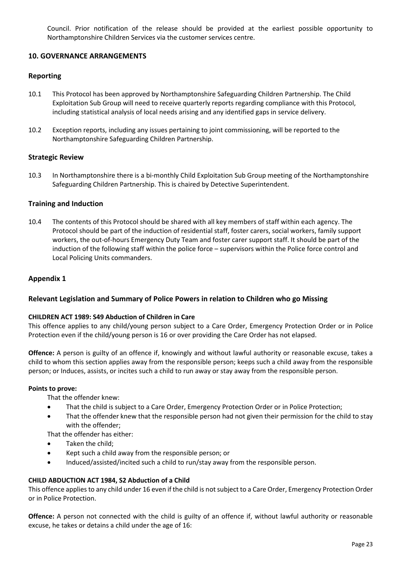Council. Prior notification of the release should be provided at the earliest possible opportunity to Northamptonshire Children Services via the customer services centre.

# <span id="page-22-0"></span>**10. GOVERNANCE ARRANGEMENTS**

# <span id="page-22-1"></span>**Reporting**

- 10.1 This Protocol has been approved by Northamptonshire Safeguarding Children Partnership. The Child Exploitation Sub Group will need to receive quarterly reports regarding compliance with this Protocol, including statistical analysis of local needs arising and any identified gaps in service delivery.
- 10.2 Exception reports, including any issues pertaining to joint commissioning, will be reported to the Northamptonshire Safeguarding Children Partnership.

# <span id="page-22-2"></span>**Strategic Review**

10.3 In Northamptonshire there is a bi-monthly Child Exploitation Sub Group meeting of the Northamptonshire Safeguarding Children Partnership. This is chaired by Detective Superintendent.

# <span id="page-22-3"></span>**Training and Induction**

10.4 The contents of this Protocol should be shared with all key members of staff within each agency. The Protocol should be part of the induction of residential staff, foster carers, social workers, family support workers, the out-of-hours Emergency Duty Team and foster carer support staff. It should be part of the induction of the following staff within the police force – supervisors within the Police force control and Local Policing Units commanders.

# <span id="page-22-4"></span>**Appendix 1**

# <span id="page-22-5"></span>**Relevant Legislation and Summary of Police Powers in relation to Children who go Missing**

# **CHILDREN ACT 1989: S49 Abduction of Children in Care**

This offence applies to any child/young person subject to a Care Order, Emergency Protection Order or in Police Protection even if the child/young person is 16 or over providing the Care Order has not elapsed.

**Offence:** A person is guilty of an offence if, knowingly and without lawful authority or reasonable excuse, takes a child to whom this section applies away from the responsible person; keeps such a child away from the responsible person; or Induces, assists, or incites such a child to run away or stay away from the responsible person.

### **Points to prove:**

That the offender knew:

- That the child is subject to a Care Order, Emergency Protection Order or in Police Protection;
- That the offender knew that the responsible person had not given their permission for the child to stay with the offender;

That the offender has either:

- Taken the child:
- Kept such a child away from the responsible person; or
- Induced/assisted/incited such a child to run/stay away from the responsible person.

# **CHILD ABDUCTION ACT 1984, S2 Abduction of a Child**

This offence applies to any child under 16 even if the child is not subject to a Care Order, Emergency Protection Order or in Police Protection.

**Offence:** A person not connected with the child is guilty of an offence if, without lawful authority or reasonable excuse, he takes or detains a child under the age of 16: